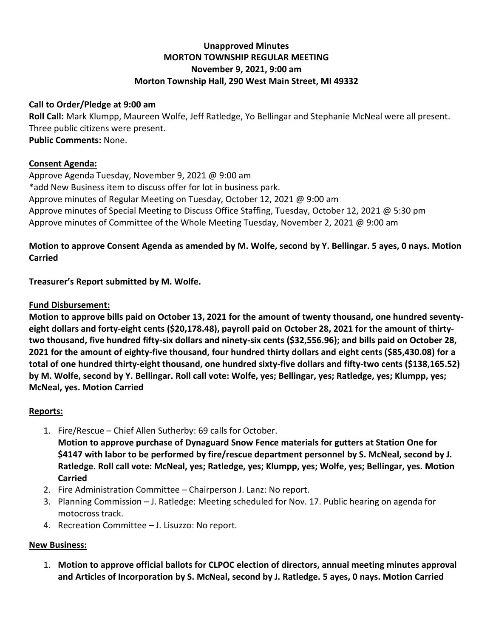# **Unapproved Minutes MORTON TOWNSHIP REGULAR MEETING November 9, 2021, 9:00 am Morton Township Hall, 290 West Main Street, MI 49332**

### **Call to Order/Pledge at 9:00 am**

**Roll Call:** Mark Klumpp, Maureen Wolfe, Jeff Ratledge, Yo Bellingar and Stephanie McNeal were all present. Three public citizens were present. **Public Comments:** None.

### **Consent Agenda:**

Approve Agenda Tuesday, November 9, 2021 @ 9:00 am \*add New Business item to discuss offer for lot in business park. Approve minutes of Regular Meeting on Tuesday, October 12, 2021 @ 9:00 am Approve minutes of Special Meeting to Discuss Office Staffing, Tuesday, October 12, 2021 @ 5:30 pm Approve minutes of Committee of the Whole Meeting Tuesday, November 2, 2021 @ 9:00 am

# **Motion to approve Consent Agenda as amended by M. Wolfe, second by Y. Bellingar. 5 ayes, 0 nays. Motion Carried**

**Treasurer's Report submitted by M. Wolfe.**

## **Fund Disbursement:**

**Motion to approve bills paid on October 13, 2021 for the amount of twenty thousand, one hundred seventyeight dollars and forty-eight cents (\$20,178.48), payroll paid on October 28, 2021 for the amount of thirtytwo thousand, five hundred fifty-six dollars and ninety-six cents (\$32,556.96); and bills paid on October 28, 2021 for the amount of eighty-five thousand, four hundred thirty dollars and eight cents (\$85,430.08) for a total of one hundred thirty-eight thousand, one hundred sixty-five dollars and fifty-two cents (\$138,165.52) by M. Wolfe, second by Y. Bellingar. Roll call vote: Wolfe, yes; Bellingar, yes; Ratledge, yes; Klumpp, yes; McNeal, yes. Motion Carried**

## **Reports:**

1. Fire/Rescue – Chief Allen Sutherby: 69 calls for October.

**Motion to approve purchase of Dynaguard Snow Fence materials for gutters at Station One for \$4147 with labor to be performed by fire/rescue department personnel by S. McNeal, second by J. Ratledge. Roll call vote: McNeal, yes; Ratledge, yes; Klumpp, yes; Wolfe, yes; Bellingar, yes. Motion Carried**

- 2. Fire Administration Committee Chairperson J. Lanz: No report.
- 3. Planning Commission J. Ratledge: Meeting scheduled for Nov. 17. Public hearing on agenda for motocross track.
- 4. Recreation Committee J. Lisuzzo: No report.

### **New Business:**

1. **Motion to approve official ballots for CLPOC election of directors, annual meeting minutes approval and Articles of Incorporation by S. McNeal, second by J. Ratledge. 5 ayes, 0 nays. Motion Carried**